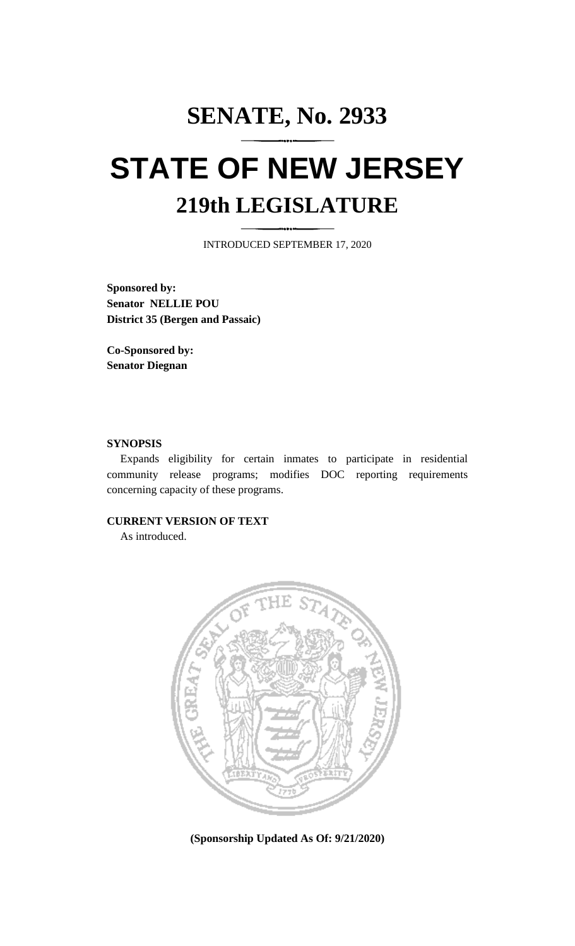# **SENATE, No. 2933 STATE OF NEW JERSEY 219th LEGISLATURE**

INTRODUCED SEPTEMBER 17, 2020

**Sponsored by: Senator NELLIE POU District 35 (Bergen and Passaic)**

**Co-Sponsored by: Senator Diegnan**

## **SYNOPSIS**

Expands eligibility for certain inmates to participate in residential community release programs; modifies DOC reporting requirements concerning capacity of these programs.

# **CURRENT VERSION OF TEXT**

As introduced.



**(Sponsorship Updated As Of: 9/21/2020)**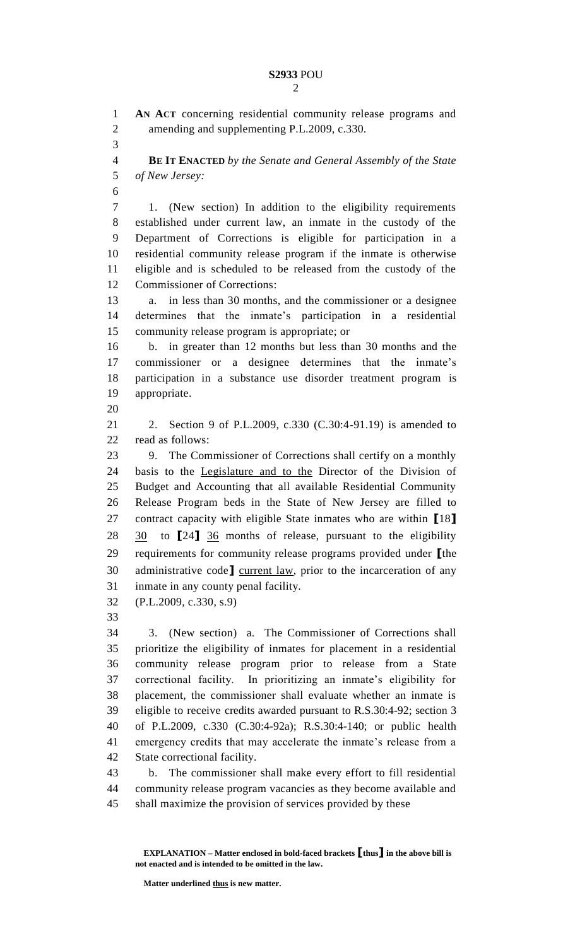**AN ACT** concerning residential community release programs and amending and supplementing P.L.2009, c.330. **BE IT ENACTED** *by the Senate and General Assembly of the State of New Jersey:* 1. (New section) In addition to the eligibility requirements established under current law, an inmate in the custody of the Department of Corrections is eligible for participation in a residential community release program if the inmate is otherwise eligible and is scheduled to be released from the custody of the Commissioner of Corrections: a. in less than 30 months, and the commissioner or a designee determines that the inmate's participation in a residential community release program is appropriate; or b. in greater than 12 months but less than 30 months and the commissioner or a designee determines that the inmate's participation in a substance use disorder treatment program is appropriate. 2. Section 9 of P.L.2009, c.330 (C.30:4-91.19) is amended to read as follows: 9. The Commissioner of Corrections shall certify on a monthly basis to the Legislature and to the Director of the Division of Budget and Accounting that all available Residential Community Release Program beds in the State of New Jersey are filled to contract capacity with eligible State inmates who are within **[**18**]** 30 to **[**24**]** 36 months of release, pursuant to the eligibility requirements for community release programs provided under **[**the administrative code**]** current law, prior to the incarceration of any inmate in any county penal facility. (P.L.2009, c.330, s.9) 3. (New section) a. The Commissioner of Corrections shall prioritize the eligibility of inmates for placement in a residential community release program prior to release from a State correctional facility. In prioritizing an inmate's eligibility for placement, the commissioner shall evaluate whether an inmate is eligible to receive credits awarded pursuant to R.S.30:4-92; section 3 of P.L.2009, c.330 (C.30:4-92a); R.S.30:4-140; or public health emergency credits that may accelerate the inmate's release from a State correctional facility. b. The commissioner shall make every effort to fill residential community release program vacancies as they become available and

shall maximize the provision of services provided by these

**EXPLANATION – Matter enclosed in bold-faced brackets [thus] in the above bill is not enacted and is intended to be omitted in the law.**

**Matter underlined thus is new matter.**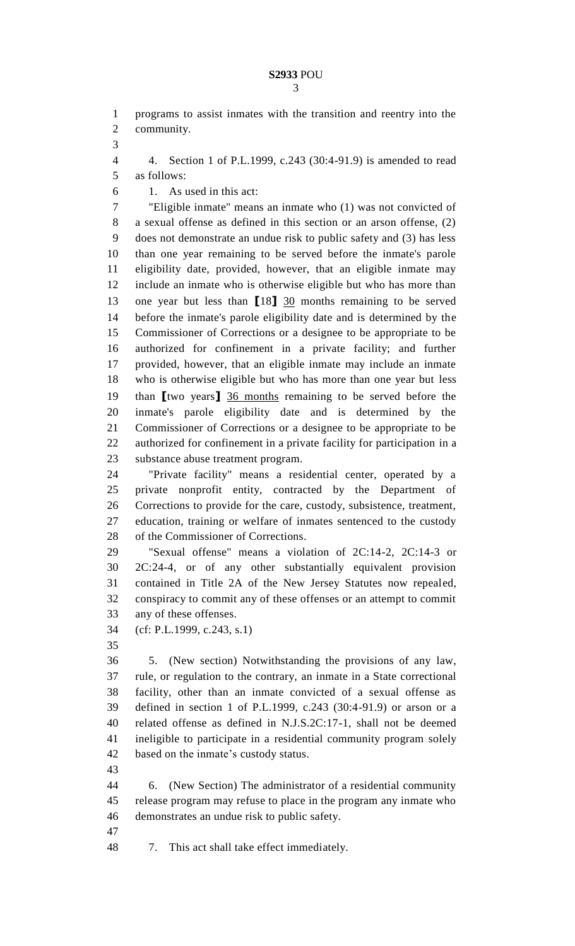programs to assist inmates with the transition and reentry into the community.

 4. Section 1 of P.L.1999, c.243 (30:4-91.9) is amended to read as follows:

1. As used in this act:

 "Eligible inmate" means an inmate who (1) was not convicted of a sexual offense as defined in this section or an arson offense, (2) does not demonstrate an undue risk to public safety and (3) has less than one year remaining to be served before the inmate's parole eligibility date, provided, however, that an eligible inmate may include an inmate who is otherwise eligible but who has more than one year but less than **[**18**]** 30 months remaining to be served before the inmate's parole eligibility date and is determined by the Commissioner of Corrections or a designee to be appropriate to be authorized for confinement in a private facility; and further provided, however, that an eligible inmate may include an inmate who is otherwise eligible but who has more than one year but less than **[**two years**]** 36 months remaining to be served before the inmate's parole eligibility date and is determined by the Commissioner of Corrections or a designee to be appropriate to be authorized for confinement in a private facility for participation in a substance abuse treatment program.

 "Private facility" means a residential center, operated by a private nonprofit entity, contracted by the Department of Corrections to provide for the care, custody, subsistence, treatment, education, training or welfare of inmates sentenced to the custody of the Commissioner of Corrections.

 "Sexual offense" means a violation of 2C:14-2, 2C:14-3 or 2C:24-4, or of any other substantially equivalent provision contained in Title 2A of the New Jersey Statutes now repealed, conspiracy to commit any of these offenses or an attempt to commit any of these offenses.

(cf: P.L.1999, c.243, s.1)

 5. (New section) Notwithstanding the provisions of any law, rule, or regulation to the contrary, an inmate in a State correctional facility, other than an inmate convicted of a sexual offense as defined in section 1 of P.L.1999, c.243 (30:4-91.9) or arson or a related offense as defined in N.J.S.2C:17-1, shall not be deemed ineligible to participate in a residential community program solely based on the inmate's custody status.

 6. (New Section) The administrator of a residential community release program may refuse to place in the program any inmate who demonstrates an undue risk to public safety.

7. This act shall take effect immediately.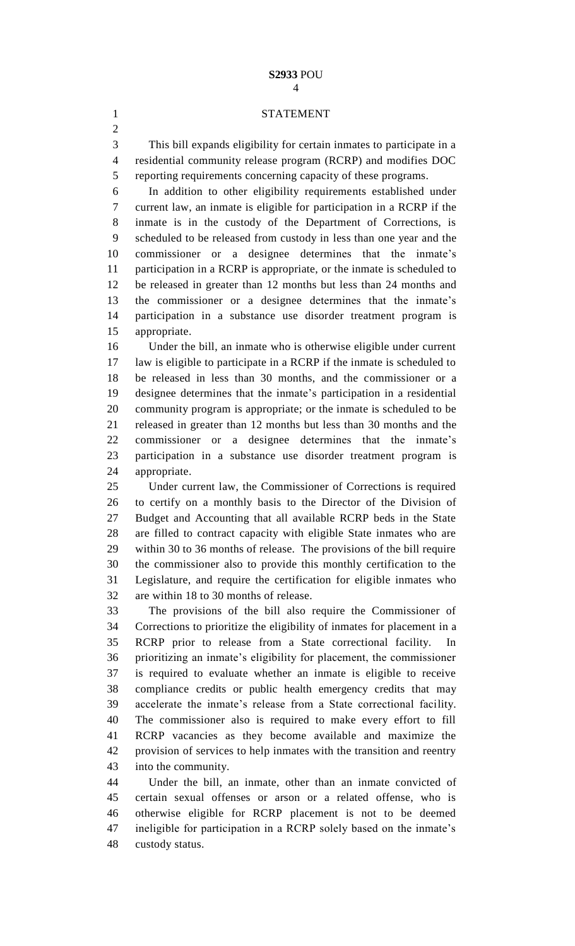#### **S2933** POU

## STATEMENT

 This bill expands eligibility for certain inmates to participate in a residential community release program (RCRP) and modifies DOC reporting requirements concerning capacity of these programs.

 In addition to other eligibility requirements established under current law, an inmate is eligible for participation in a RCRP if the inmate is in the custody of the Department of Corrections, is scheduled to be released from custody in less than one year and the commissioner or a designee determines that the inmate's participation in a RCRP is appropriate, or the inmate is scheduled to be released in greater than 12 months but less than 24 months and the commissioner or a designee determines that the inmate's participation in a substance use disorder treatment program is appropriate.

 Under the bill, an inmate who is otherwise eligible under current law is eligible to participate in a RCRP if the inmate is scheduled to be released in less than 30 months, and the commissioner or a designee determines that the inmate's participation in a residential community program is appropriate; or the inmate is scheduled to be released in greater than 12 months but less than 30 months and the commissioner or a designee determines that the inmate's participation in a substance use disorder treatment program is appropriate.

 Under current law, the Commissioner of Corrections is required to certify on a monthly basis to the Director of the Division of Budget and Accounting that all available RCRP beds in the State are filled to contract capacity with eligible State inmates who are within 30 to 36 months of release. The provisions of the bill require the commissioner also to provide this monthly certification to the Legislature, and require the certification for eligible inmates who are within 18 to 30 months of release.

 The provisions of the bill also require the Commissioner of Corrections to prioritize the eligibility of inmates for placement in a RCRP prior to release from a State correctional facility. In prioritizing an inmate's eligibility for placement, the commissioner is required to evaluate whether an inmate is eligible to receive compliance credits or public health emergency credits that may accelerate the inmate's release from a State correctional facility. The commissioner also is required to make every effort to fill RCRP vacancies as they become available and maximize the provision of services to help inmates with the transition and reentry into the community.

 Under the bill, an inmate, other than an inmate convicted of certain sexual offenses or arson or a related offense, who is otherwise eligible for RCRP placement is not to be deemed ineligible for participation in a RCRP solely based on the inmate's custody status.